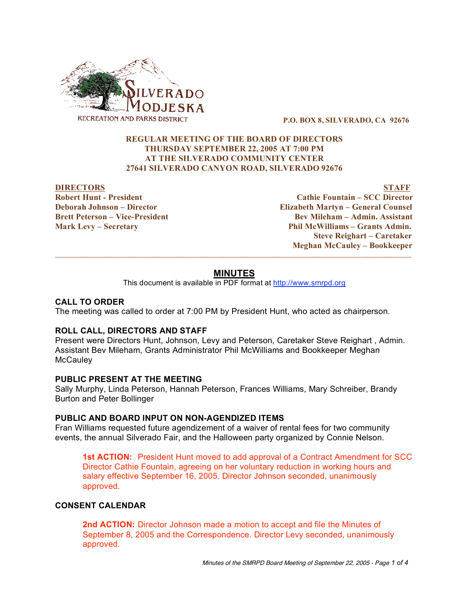

**P.O. BOX 8, SILVERADO, CA 92676**

# **REGULAR MEETING OF THE BOARD OF DIRECTORS THURSDAY SEPTEMBER 22, 2005 AT 7:00 PM AT THE SILVERADO COMMUNITY CENTER 27641 SILVERADO CANYON ROAD, SILVERADO 92676**

**DIRECTORS STAFF Robert Hunt - President Cathie Fountain – SCC Director Deborah Johnson – Director Elizabeth Martyn – General Counsel Brett Peterson – Vice-President Bev Mileham – Admin. Assistant Mark Levy – Secretary Phil McWilliams – Grants Admin. Steve Reighart – Caretaker Meghan McCauley – Bookkeeper**

# **MINUTES**

 $\overline{\phantom{a}}$  ,  $\overline{\phantom{a}}$  ,  $\overline{\phantom{a}}$  ,  $\overline{\phantom{a}}$  ,  $\overline{\phantom{a}}$  ,  $\overline{\phantom{a}}$  ,  $\overline{\phantom{a}}$  ,  $\overline{\phantom{a}}$  ,  $\overline{\phantom{a}}$  ,  $\overline{\phantom{a}}$  ,  $\overline{\phantom{a}}$  ,  $\overline{\phantom{a}}$  ,  $\overline{\phantom{a}}$  ,  $\overline{\phantom{a}}$  ,  $\overline{\phantom{a}}$  ,  $\overline{\phantom{a}}$ 

This document is available in PDF format at http://www.smrpd.org

### **CALL TO ORDER**

The meeting was called to order at 7:00 PM by President Hunt, who acted as chairperson.

### **ROLL CALL, DIRECTORS AND STAFF**

Present were Directors Hunt, Johnson, Levy and Peterson, Caretaker Steve Reighart , Admin. Assistant Bev Mileham, Grants Administrator Phil McWilliams and Bookkeeper Meghan **McCauley** 

# **PUBLIC PRESENT AT THE MEETING**

Sally Murphy, Linda Peterson, Hannah Peterson, Frances Williams, Mary Schreiber, Brandy Burton and Peter Bollinger

### **PUBLIC AND BOARD INPUT ON NON-AGENDIZED ITEMS**

Fran Williams requested future agendizement of a waiver of rental fees for two community events, the annual Silverado Fair, and the Halloween party organized by Connie Nelson.

**1st ACTION:** President Hunt moved to add approval of a Contract Amendment for SCC Director Cathie Fountain, agreeing on her voluntary reduction in working hours and salary effective September 16, 2005. Director Johnson seconded, unanimously approved.

### **CONSENT CALENDAR**

**2nd ACTION:** Director Johnson made a motion to accept and file the Minutes of September 8, 2005 and the Correspondence. Director Levy seconded, unanimously approved.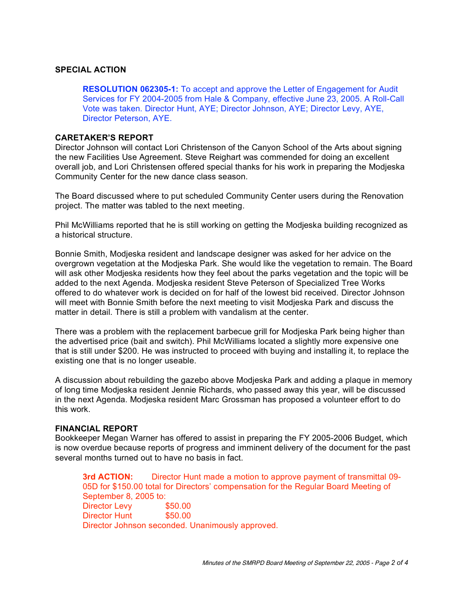### **SPECIAL ACTION**

**RESOLUTION 062305-1:** To accept and approve the Letter of Engagement for Audit Services for FY 2004-2005 from Hale & Company, effective June 23, 2005. A Roll-Call Vote was taken. Director Hunt, AYE; Director Johnson, AYE; Director Levy, AYE, Director Peterson, AYE.

#### **CARETAKER'S REPORT**

Director Johnson will contact Lori Christenson of the Canyon School of the Arts about signing the new Facilities Use Agreement. Steve Reighart was commended for doing an excellent overall job, and Lori Christensen offered special thanks for his work in preparing the Modjeska Community Center for the new dance class season.

The Board discussed where to put scheduled Community Center users during the Renovation project. The matter was tabled to the next meeting.

Phil McWilliams reported that he is still working on getting the Modjeska building recognized as a historical structure.

Bonnie Smith, Modjeska resident and landscape designer was asked for her advice on the overgrown vegetation at the Modjeska Park. She would like the vegetation to remain. The Board will ask other Modjeska residents how they feel about the parks vegetation and the topic will be added to the next Agenda. Modjeska resident Steve Peterson of Specialized Tree Works offered to do whatever work is decided on for half of the lowest bid received. Director Johnson will meet with Bonnie Smith before the next meeting to visit Modjeska Park and discuss the matter in detail. There is still a problem with vandalism at the center.

There was a problem with the replacement barbecue grill for Modjeska Park being higher than the advertised price (bait and switch). Phil McWilliams located a slightly more expensive one that is still under \$200. He was instructed to proceed with buying and installing it, to replace the existing one that is no longer useable.

A discussion about rebuilding the gazebo above Modjeska Park and adding a plaque in memory of long time Modjeska resident Jennie Richards, who passed away this year, will be discussed in the next Agenda. Modjeska resident Marc Grossman has proposed a volunteer effort to do this work.

#### **FINANCIAL REPORT**

Bookkeeper Megan Warner has offered to assist in preparing the FY 2005-2006 Budget, which is now overdue because reports of progress and imminent delivery of the document for the past several months turned out to have no basis in fact.

**3rd ACTION:** Director Hunt made a motion to approve payment of transmittal 09- 05D for \$150.00 total for Directors' compensation for the Regular Board Meeting of September 8, 2005 to: Director Levy \$50.00 Director Hunt \$50.00 Director Johnson seconded. Unanimously approved.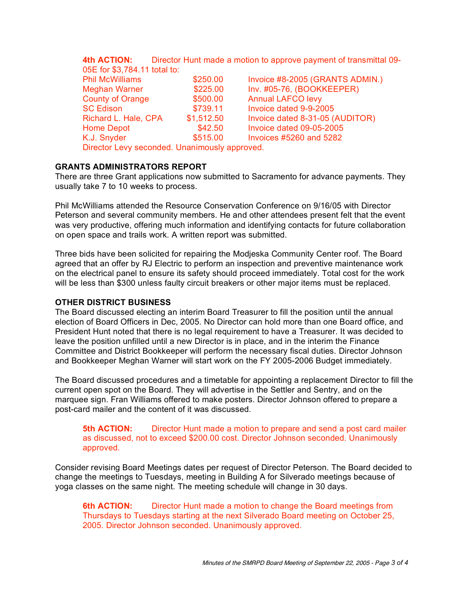## **4th ACTION:** Director Hunt made a motion to approve payment of transmittal 09- 05E for \$3,784.11 total to: Phil McWilliams \$250.00 Invoice #8-2005 (GRANTS ADMIN.) Meghan Warner  $$225.00$  Inv. #05-76, (BOOKKEEPER) County of Orange **\$500.00** Annual LAFCO levy SC Edison **\$739.11** Invoice dated 9-9-2005 Richard L. Hale, CPA \$1,512.50 Invoice dated 8-31-05 (AUDITOR) Home Depot **342.50** Invoice dated 09-05-2005 K.J. Snyder **8515.00** Invoices #5260 and 5282 Director Levy seconded. Unanimously approved.

# **GRANTS ADMINISTRATORS REPORT**

There are three Grant applications now submitted to Sacramento for advance payments. They usually take 7 to 10 weeks to process.

Phil McWilliams attended the Resource Conservation Conference on 9/16/05 with Director Peterson and several community members. He and other attendees present felt that the event was very productive, offering much information and identifying contacts for future collaboration on open space and trails work. A written report was submitted.

Three bids have been solicited for repairing the Modjeska Community Center roof. The Board agreed that an offer by RJ Electric to perform an inspection and preventive maintenance work on the electrical panel to ensure its safety should proceed immediately. Total cost for the work will be less than \$300 unless faulty circuit breakers or other major items must be replaced.

#### **OTHER DISTRICT BUSINESS**

The Board discussed electing an interim Board Treasurer to fill the position until the annual election of Board Officers in Dec, 2005. No Director can hold more than one Board office, and President Hunt noted that there is no legal requirement to have a Treasurer. It was decided to leave the position unfilled until a new Director is in place, and in the interim the Finance Committee and District Bookkeeper will perform the necessary fiscal duties. Director Johnson and Bookkeeper Meghan Warner will start work on the FY 2005-2006 Budget immediately.

The Board discussed procedures and a timetable for appointing a replacement Director to fill the current open spot on the Board. They will advertise in the Settler and Sentry, and on the marquee sign. Fran Williams offered to make posters. Director Johnson offered to prepare a post-card mailer and the content of it was discussed.

**5th ACTION:** Director Hunt made a motion to prepare and send a post card mailer as discussed, not to exceed \$200.00 cost. Director Johnson seconded. Unanimously approved.

Consider revising Board Meetings dates per request of Director Peterson. The Board decided to change the meetings to Tuesdays, meeting in Building A for Silverado meetings because of yoga classes on the same night. The meeting schedule will change in 30 days.

**6th ACTION:** Director Hunt made a motion to change the Board meetings from Thursdays to Tuesdays starting at the next Silverado Board meeting on October 25, 2005. Director Johnson seconded. Unanimously approved.